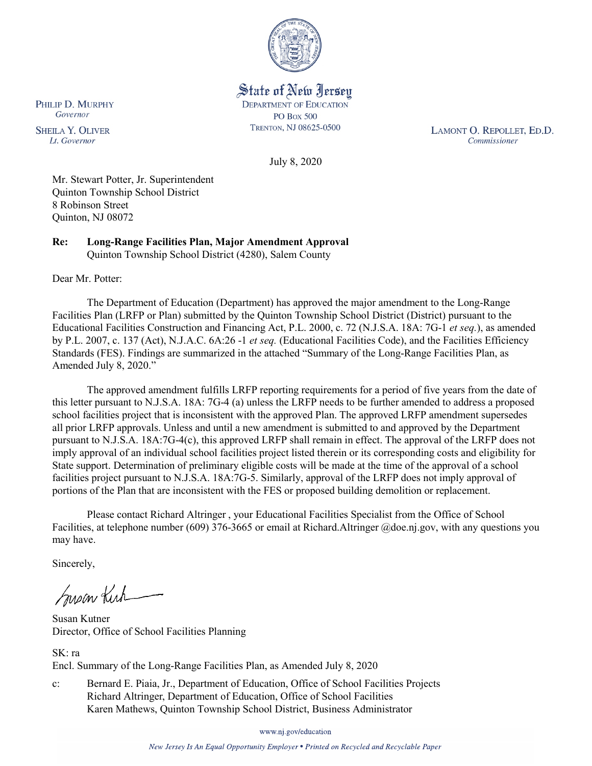

State of New Jersey **DEPARTMENT OF EDUCATION PO Box 500** TRENTON, NJ 08625-0500

LAMONT O. REPOLLET, ED.D. Commissioner

July 8, 2020

Mr. Stewart Potter, Jr. Superintendent Quinton Township School District 8 Robinson Street Quinton, NJ 08072

**Re: Long-Range Facilities Plan, Major Amendment Approval** Quinton Township School District (4280), Salem County

Dear Mr. Potter:

The Department of Education (Department) has approved the major amendment to the Long-Range Facilities Plan (LRFP or Plan) submitted by the Quinton Township School District (District) pursuant to the Educational Facilities Construction and Financing Act, P.L. 2000, c. 72 (N.J.S.A. 18A: 7G-1 *et seq.*), as amended by P.L. 2007, c. 137 (Act), N.J.A.C. 6A:26 -1 *et seq.* (Educational Facilities Code), and the Facilities Efficiency Standards (FES). Findings are summarized in the attached "Summary of the Long-Range Facilities Plan, as Amended July 8, 2020."

The approved amendment fulfills LRFP reporting requirements for a period of five years from the date of this letter pursuant to N.J.S.A. 18A: 7G-4 (a) unless the LRFP needs to be further amended to address a proposed school facilities project that is inconsistent with the approved Plan. The approved LRFP amendment supersedes all prior LRFP approvals. Unless and until a new amendment is submitted to and approved by the Department pursuant to N.J.S.A. 18A:7G-4(c), this approved LRFP shall remain in effect. The approval of the LRFP does not imply approval of an individual school facilities project listed therein or its corresponding costs and eligibility for State support. Determination of preliminary eligible costs will be made at the time of the approval of a school facilities project pursuant to N.J.S.A. 18A:7G-5. Similarly, approval of the LRFP does not imply approval of portions of the Plan that are inconsistent with the FES or proposed building demolition or replacement.

Please contact Richard Altringer , your Educational Facilities Specialist from the Office of School Facilities, at telephone number (609) 376-3665 or email at Richard.Altringer @doe.nj.gov, with any questions you may have.

Sincerely,

Suscentuck

Susan Kutner Director, Office of School Facilities Planning

SK: ra Encl. Summary of the Long-Range Facilities Plan, as Amended July 8, 2020

c: Bernard E. Piaia, Jr., Department of Education, Office of School Facilities Projects Richard Altringer, Department of Education, Office of School Facilities Karen Mathews, Quinton Township School District, Business Administrator

www.nj.gov/education

New Jersey Is An Equal Opportunity Employer . Printed on Recycled and Recyclable Paper

PHILIP D. MURPHY Governor

**SHEILA Y. OLIVER** Lt. Governor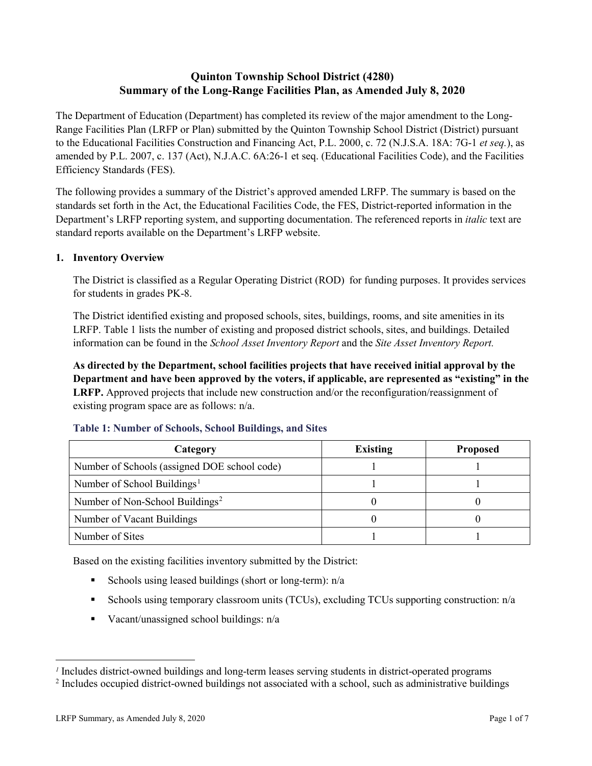# **Quinton Township School District (4280) Summary of the Long-Range Facilities Plan, as Amended July 8, 2020**

The Department of Education (Department) has completed its review of the major amendment to the Long-Range Facilities Plan (LRFP or Plan) submitted by the Quinton Township School District (District) pursuant to the Educational Facilities Construction and Financing Act, P.L. 2000, c. 72 (N.J.S.A. 18A: 7G-1 *et seq.*), as amended by P.L. 2007, c. 137 (Act), N.J.A.C. 6A:26-1 et seq. (Educational Facilities Code), and the Facilities Efficiency Standards (FES).

The following provides a summary of the District's approved amended LRFP. The summary is based on the standards set forth in the Act, the Educational Facilities Code, the FES, District-reported information in the Department's LRFP reporting system, and supporting documentation. The referenced reports in *italic* text are standard reports available on the Department's LRFP website.

## **1. Inventory Overview**

The District is classified as a Regular Operating District (ROD) for funding purposes. It provides services for students in grades PK-8.

The District identified existing and proposed schools, sites, buildings, rooms, and site amenities in its LRFP. Table 1 lists the number of existing and proposed district schools, sites, and buildings. Detailed information can be found in the *School Asset Inventory Report* and the *Site Asset Inventory Report.*

**As directed by the Department, school facilities projects that have received initial approval by the Department and have been approved by the voters, if applicable, are represented as "existing" in the LRFP.** Approved projects that include new construction and/or the reconfiguration/reassignment of existing program space are as follows: n/a.

| Category                                     | <b>Existing</b> | <b>Proposed</b> |
|----------------------------------------------|-----------------|-----------------|
| Number of Schools (assigned DOE school code) |                 |                 |
| Number of School Buildings <sup>1</sup>      |                 |                 |
| Number of Non-School Buildings <sup>2</sup>  |                 |                 |
| Number of Vacant Buildings                   |                 |                 |
| Number of Sites                              |                 |                 |

#### **Table 1: Number of Schools, School Buildings, and Sites**

Based on the existing facilities inventory submitted by the District:

- Schools using leased buildings (short or long-term):  $n/a$
- Schools using temporary classroom units (TCUs), excluding TCUs supporting construction: n/a
- Vacant/unassigned school buildings:  $n/a$

 $\overline{a}$ 

<span id="page-1-0"></span>*<sup>1</sup>* Includes district-owned buildings and long-term leases serving students in district-operated programs

<span id="page-1-1"></span><sup>&</sup>lt;sup>2</sup> Includes occupied district-owned buildings not associated with a school, such as administrative buildings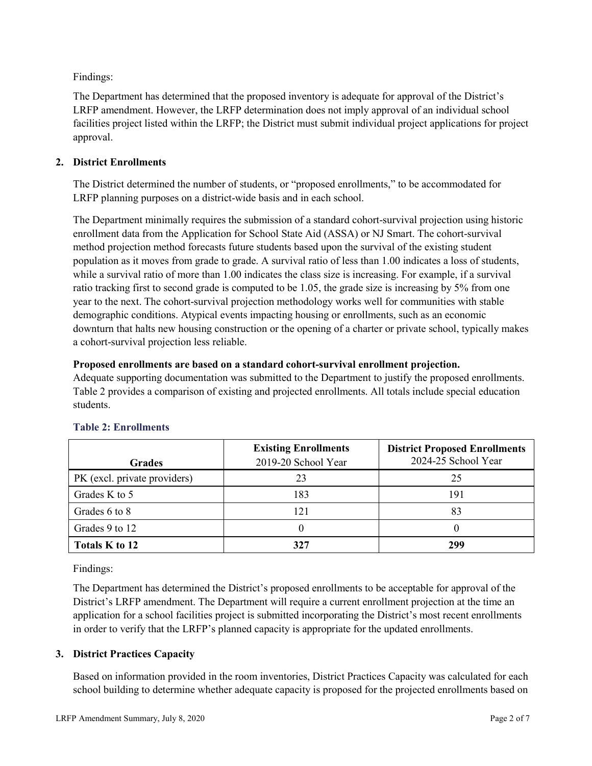Findings:

The Department has determined that the proposed inventory is adequate for approval of the District's LRFP amendment. However, the LRFP determination does not imply approval of an individual school facilities project listed within the LRFP; the District must submit individual project applications for project approval.

## **2. District Enrollments**

The District determined the number of students, or "proposed enrollments," to be accommodated for LRFP planning purposes on a district-wide basis and in each school.

The Department minimally requires the submission of a standard cohort-survival projection using historic enrollment data from the Application for School State Aid (ASSA) or NJ Smart. The cohort-survival method projection method forecasts future students based upon the survival of the existing student population as it moves from grade to grade. A survival ratio of less than 1.00 indicates a loss of students, while a survival ratio of more than 1.00 indicates the class size is increasing. For example, if a survival ratio tracking first to second grade is computed to be 1.05, the grade size is increasing by 5% from one year to the next. The cohort-survival projection methodology works well for communities with stable demographic conditions. Atypical events impacting housing or enrollments, such as an economic downturn that halts new housing construction or the opening of a charter or private school, typically makes a cohort-survival projection less reliable.

### **Proposed enrollments are based on a standard cohort-survival enrollment projection.**

Adequate supporting documentation was submitted to the Department to justify the proposed enrollments. Table 2 provides a comparison of existing and projected enrollments. All totals include special education students.

|                              | <b>Existing Enrollments</b> | <b>District Proposed Enrollments</b> |
|------------------------------|-----------------------------|--------------------------------------|
| <b>Grades</b>                | 2019-20 School Year         | 2024-25 School Year                  |
| PK (excl. private providers) | 23                          | 25                                   |
| Grades K to 5                | 183                         | 191                                  |
| Grades 6 to 8                | 121                         | 83                                   |
| Grades 9 to 12               |                             |                                      |
| Totals K to 12               | 327                         | 299                                  |

## **Table 2: Enrollments**

Findings:

The Department has determined the District's proposed enrollments to be acceptable for approval of the District's LRFP amendment. The Department will require a current enrollment projection at the time an application for a school facilities project is submitted incorporating the District's most recent enrollments in order to verify that the LRFP's planned capacity is appropriate for the updated enrollments.

## **3. District Practices Capacity**

Based on information provided in the room inventories, District Practices Capacity was calculated for each school building to determine whether adequate capacity is proposed for the projected enrollments based on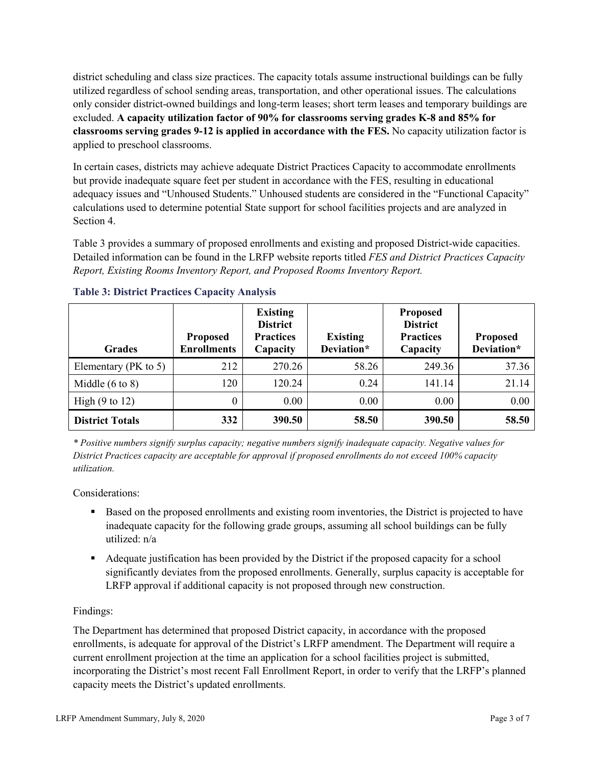district scheduling and class size practices. The capacity totals assume instructional buildings can be fully utilized regardless of school sending areas, transportation, and other operational issues. The calculations only consider district-owned buildings and long-term leases; short term leases and temporary buildings are excluded. **A capacity utilization factor of 90% for classrooms serving grades K-8 and 85% for classrooms serving grades 9-12 is applied in accordance with the FES.** No capacity utilization factor is applied to preschool classrooms.

In certain cases, districts may achieve adequate District Practices Capacity to accommodate enrollments but provide inadequate square feet per student in accordance with the FES, resulting in educational adequacy issues and "Unhoused Students." Unhoused students are considered in the "Functional Capacity" calculations used to determine potential State support for school facilities projects and are analyzed in Section 4.

Table 3 provides a summary of proposed enrollments and existing and proposed District-wide capacities. Detailed information can be found in the LRFP website reports titled *FES and District Practices Capacity Report, Existing Rooms Inventory Report, and Proposed Rooms Inventory Report.*

| <b>Grades</b>              | <b>Proposed</b><br><b>Enrollments</b> | <b>Existing</b><br><b>District</b><br><b>Practices</b><br>Capacity | <b>Existing</b><br>Deviation* | <b>Proposed</b><br><b>District</b><br><b>Practices</b><br>Capacity | <b>Proposed</b><br>Deviation* |
|----------------------------|---------------------------------------|--------------------------------------------------------------------|-------------------------------|--------------------------------------------------------------------|-------------------------------|
| Elementary ( $PK$ to 5)    | 212                                   | 270.26                                                             | 58.26                         | 249.36                                                             | 37.36                         |
| Middle $(6 \text{ to } 8)$ | 120                                   | 120.24                                                             | 0.24                          | 141.14                                                             | 21.14                         |
| High $(9 \text{ to } 12)$  | 0                                     | 0.00                                                               | 0.00                          | 0.00                                                               | 0.00                          |
| <b>District Totals</b>     | 332                                   | 390.50                                                             | 58.50                         | 390.50                                                             | 58.50                         |

## **Table 3: District Practices Capacity Analysis**

*\* Positive numbers signify surplus capacity; negative numbers signify inadequate capacity. Negative values for District Practices capacity are acceptable for approval if proposed enrollments do not exceed 100% capacity utilization.*

Considerations:

- Based on the proposed enrollments and existing room inventories, the District is projected to have inadequate capacity for the following grade groups, assuming all school buildings can be fully utilized: n/a
- Adequate justification has been provided by the District if the proposed capacity for a school significantly deviates from the proposed enrollments. Generally, surplus capacity is acceptable for LRFP approval if additional capacity is not proposed through new construction.

## Findings:

The Department has determined that proposed District capacity, in accordance with the proposed enrollments, is adequate for approval of the District's LRFP amendment. The Department will require a current enrollment projection at the time an application for a school facilities project is submitted, incorporating the District's most recent Fall Enrollment Report, in order to verify that the LRFP's planned capacity meets the District's updated enrollments.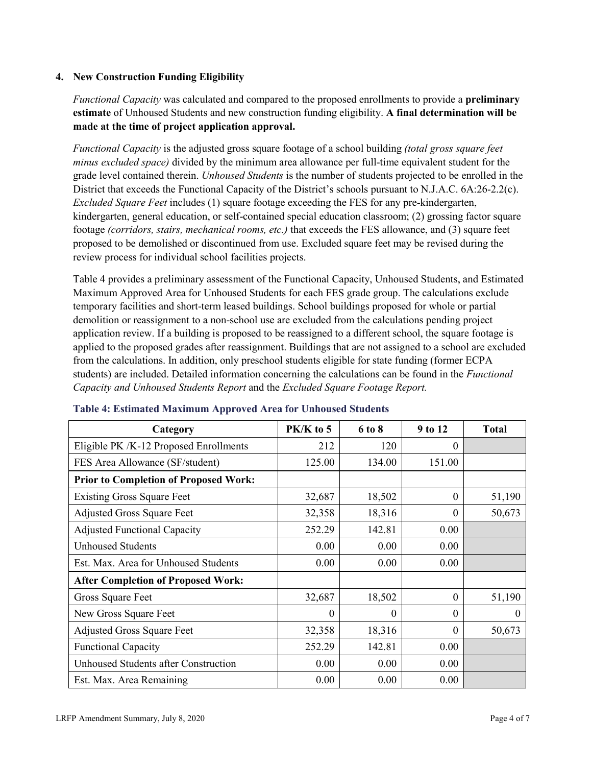### **4. New Construction Funding Eligibility**

*Functional Capacity* was calculated and compared to the proposed enrollments to provide a **preliminary estimate** of Unhoused Students and new construction funding eligibility. **A final determination will be made at the time of project application approval.**

*Functional Capacity* is the adjusted gross square footage of a school building *(total gross square feet minus excluded space)* divided by the minimum area allowance per full-time equivalent student for the grade level contained therein. *Unhoused Students* is the number of students projected to be enrolled in the District that exceeds the Functional Capacity of the District's schools pursuant to N.J.A.C. 6A:26-2.2(c). *Excluded Square Feet* includes (1) square footage exceeding the FES for any pre-kindergarten, kindergarten, general education, or self-contained special education classroom; (2) grossing factor square footage *(corridors, stairs, mechanical rooms, etc.)* that exceeds the FES allowance, and (3) square feet proposed to be demolished or discontinued from use. Excluded square feet may be revised during the review process for individual school facilities projects.

Table 4 provides a preliminary assessment of the Functional Capacity, Unhoused Students, and Estimated Maximum Approved Area for Unhoused Students for each FES grade group. The calculations exclude temporary facilities and short-term leased buildings. School buildings proposed for whole or partial demolition or reassignment to a non-school use are excluded from the calculations pending project application review. If a building is proposed to be reassigned to a different school, the square footage is applied to the proposed grades after reassignment. Buildings that are not assigned to a school are excluded from the calculations. In addition, only preschool students eligible for state funding (former ECPA students) are included. Detailed information concerning the calculations can be found in the *Functional Capacity and Unhoused Students Report* and the *Excluded Square Footage Report.*

| Category                                     | PK/K to 5 | 6 to 8 | 9 to 12  | <b>Total</b> |
|----------------------------------------------|-----------|--------|----------|--------------|
| Eligible PK /K-12 Proposed Enrollments       | 212       | 120    | 0        |              |
| FES Area Allowance (SF/student)              | 125.00    | 134.00 | 151.00   |              |
| <b>Prior to Completion of Proposed Work:</b> |           |        |          |              |
| <b>Existing Gross Square Feet</b>            | 32,687    | 18,502 | $\theta$ | 51,190       |
| <b>Adjusted Gross Square Feet</b>            | 32,358    | 18,316 | $\theta$ | 50,673       |
| <b>Adjusted Functional Capacity</b>          | 252.29    | 142.81 | 0.00     |              |
| Unhoused Students                            | 0.00      | 0.00   | 0.00     |              |
| Est. Max. Area for Unhoused Students         | 0.00      | 0.00   | 0.00     |              |
| <b>After Completion of Proposed Work:</b>    |           |        |          |              |
| Gross Square Feet                            | 32,687    | 18,502 | $\theta$ | 51,190       |
| New Gross Square Feet                        | $\theta$  | 0      | $\theta$ | $\Omega$     |
| <b>Adjusted Gross Square Feet</b>            | 32,358    | 18,316 | $\Omega$ | 50,673       |
| <b>Functional Capacity</b>                   | 252.29    | 142.81 | 0.00     |              |
| <b>Unhoused Students after Construction</b>  | 0.00      | 0.00   | 0.00     |              |
| Est. Max. Area Remaining                     | 0.00      | 0.00   | 0.00     |              |

#### **Table 4: Estimated Maximum Approved Area for Unhoused Students**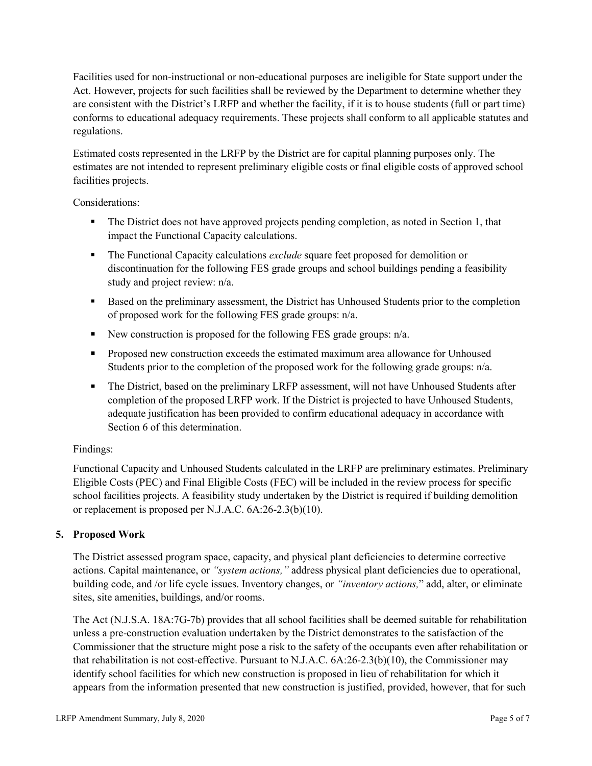Facilities used for non-instructional or non-educational purposes are ineligible for State support under the Act. However, projects for such facilities shall be reviewed by the Department to determine whether they are consistent with the District's LRFP and whether the facility, if it is to house students (full or part time) conforms to educational adequacy requirements. These projects shall conform to all applicable statutes and regulations.

Estimated costs represented in the LRFP by the District are for capital planning purposes only. The estimates are not intended to represent preliminary eligible costs or final eligible costs of approved school facilities projects.

Considerations:

- The District does not have approved projects pending completion, as noted in Section 1, that impact the Functional Capacity calculations.
- **The Functional Capacity calculations** *exclude* square feet proposed for demolition or discontinuation for the following FES grade groups and school buildings pending a feasibility study and project review: n/a.
- Based on the preliminary assessment, the District has Unhoused Students prior to the completion of proposed work for the following FES grade groups: n/a.
- New construction is proposed for the following FES grade groups: n/a.
- Proposed new construction exceeds the estimated maximum area allowance for Unhoused Students prior to the completion of the proposed work for the following grade groups: n/a.
- The District, based on the preliminary LRFP assessment, will not have Unhoused Students after completion of the proposed LRFP work. If the District is projected to have Unhoused Students, adequate justification has been provided to confirm educational adequacy in accordance with Section 6 of this determination.

## Findings:

Functional Capacity and Unhoused Students calculated in the LRFP are preliminary estimates. Preliminary Eligible Costs (PEC) and Final Eligible Costs (FEC) will be included in the review process for specific school facilities projects. A feasibility study undertaken by the District is required if building demolition or replacement is proposed per N.J.A.C. 6A:26-2.3(b)(10).

## **5. Proposed Work**

The District assessed program space, capacity, and physical plant deficiencies to determine corrective actions. Capital maintenance, or *"system actions,"* address physical plant deficiencies due to operational, building code, and /or life cycle issues. Inventory changes, or *"inventory actions,*" add, alter, or eliminate sites, site amenities, buildings, and/or rooms.

The Act (N.J.S.A. 18A:7G-7b) provides that all school facilities shall be deemed suitable for rehabilitation unless a pre-construction evaluation undertaken by the District demonstrates to the satisfaction of the Commissioner that the structure might pose a risk to the safety of the occupants even after rehabilitation or that rehabilitation is not cost-effective. Pursuant to N.J.A.C. 6A:26-2.3(b)(10), the Commissioner may identify school facilities for which new construction is proposed in lieu of rehabilitation for which it appears from the information presented that new construction is justified, provided, however, that for such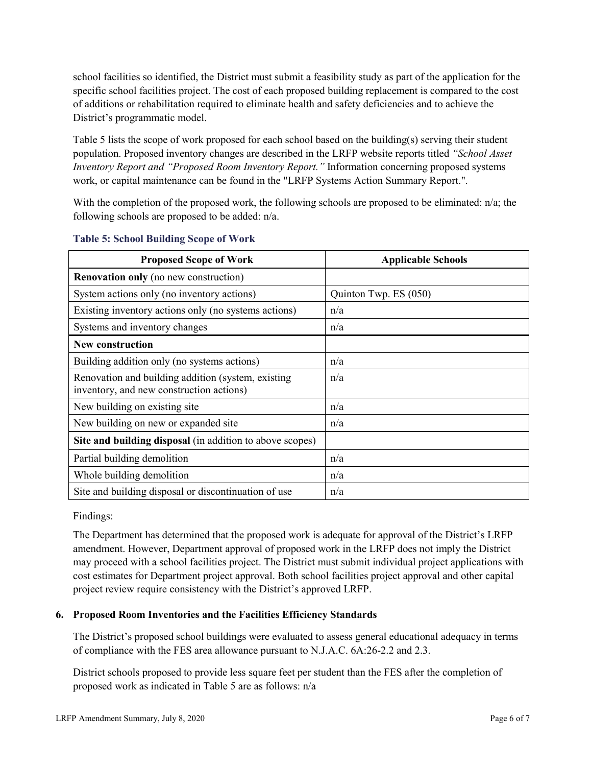school facilities so identified, the District must submit a feasibility study as part of the application for the specific school facilities project. The cost of each proposed building replacement is compared to the cost of additions or rehabilitation required to eliminate health and safety deficiencies and to achieve the District's programmatic model.

Table 5 lists the scope of work proposed for each school based on the building(s) serving their student population. Proposed inventory changes are described in the LRFP website reports titled *"School Asset Inventory Report and "Proposed Room Inventory Report."* Information concerning proposed systems work, or capital maintenance can be found in the "LRFP Systems Action Summary Report.".

With the completion of the proposed work, the following schools are proposed to be eliminated: n/a; the following schools are proposed to be added: n/a.

| <b>Proposed Scope of Work</b>                                                                  | <b>Applicable Schools</b> |
|------------------------------------------------------------------------------------------------|---------------------------|
| <b>Renovation only</b> (no new construction)                                                   |                           |
| System actions only (no inventory actions)                                                     | Quinton Twp. ES (050)     |
| Existing inventory actions only (no systems actions)                                           | n/a                       |
| Systems and inventory changes                                                                  | n/a                       |
| <b>New construction</b>                                                                        |                           |
| Building addition only (no systems actions)                                                    | n/a                       |
| Renovation and building addition (system, existing<br>inventory, and new construction actions) | n/a                       |
| New building on existing site                                                                  | n/a                       |
| New building on new or expanded site                                                           | n/a                       |
| Site and building disposal (in addition to above scopes)                                       |                           |
| Partial building demolition                                                                    | n/a                       |
| Whole building demolition                                                                      | n/a                       |
| Site and building disposal or discontinuation of use                                           | n/a                       |

### **Table 5: School Building Scope of Work**

Findings:

The Department has determined that the proposed work is adequate for approval of the District's LRFP amendment. However, Department approval of proposed work in the LRFP does not imply the District may proceed with a school facilities project. The District must submit individual project applications with cost estimates for Department project approval. Both school facilities project approval and other capital project review require consistency with the District's approved LRFP.

## **6. Proposed Room Inventories and the Facilities Efficiency Standards**

The District's proposed school buildings were evaluated to assess general educational adequacy in terms of compliance with the FES area allowance pursuant to N.J.A.C. 6A:26-2.2 and 2.3.

District schools proposed to provide less square feet per student than the FES after the completion of proposed work as indicated in Table 5 are as follows: n/a